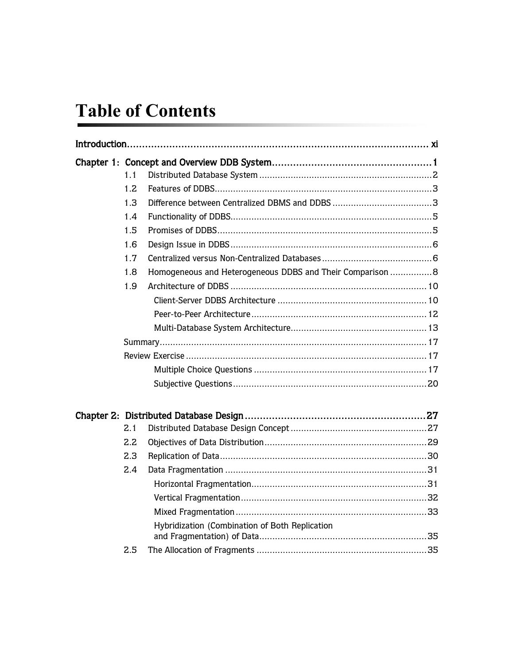## **Table of Contents**

|  | 1.1 |                                                            |  |  |
|--|-----|------------------------------------------------------------|--|--|
|  | 1.2 |                                                            |  |  |
|  | 1.3 |                                                            |  |  |
|  | 1.4 |                                                            |  |  |
|  | 1.5 |                                                            |  |  |
|  | 1.6 |                                                            |  |  |
|  | 1.7 |                                                            |  |  |
|  | 1.8 | Homogeneous and Heterogeneous DDBS and Their Comparison  8 |  |  |
|  | 1.9 |                                                            |  |  |
|  |     |                                                            |  |  |
|  |     |                                                            |  |  |
|  |     |                                                            |  |  |
|  |     |                                                            |  |  |
|  |     |                                                            |  |  |
|  |     |                                                            |  |  |
|  |     |                                                            |  |  |
|  |     |                                                            |  |  |
|  | 2.1 |                                                            |  |  |
|  | 2.2 |                                                            |  |  |
|  | 2.3 |                                                            |  |  |
|  | 2.4 |                                                            |  |  |
|  |     |                                                            |  |  |
|  |     |                                                            |  |  |
|  |     |                                                            |  |  |
|  |     | Hybridization (Combination of Both Replication             |  |  |
|  | 2.5 |                                                            |  |  |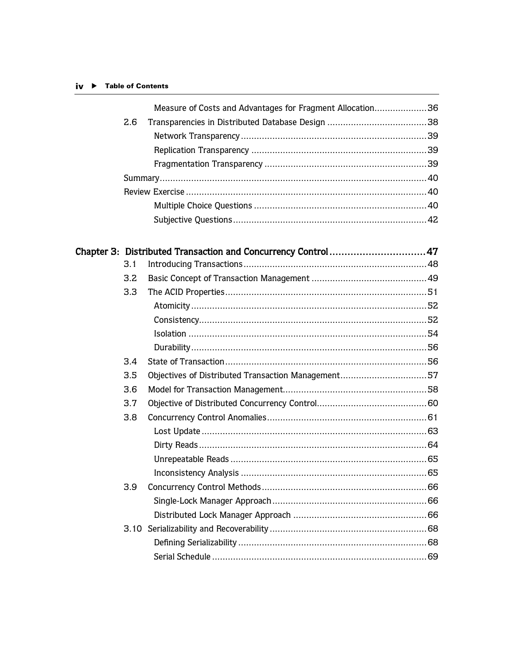## iv ▶ Table of Contents

|     | Measure of Costs and Advantages for Fragment Allocation36 |  |
|-----|-----------------------------------------------------------|--|
| 2.6 |                                                           |  |
|     |                                                           |  |
|     |                                                           |  |
|     |                                                           |  |
|     |                                                           |  |
|     |                                                           |  |
|     |                                                           |  |
|     |                                                           |  |

|     | Chapter 3: Distributed Transaction and Concurrency Control47 |  |
|-----|--------------------------------------------------------------|--|
| 3.1 |                                                              |  |
| 3.2 |                                                              |  |
| 3.3 |                                                              |  |
|     |                                                              |  |
|     |                                                              |  |
|     |                                                              |  |
|     |                                                              |  |
| 3.4 |                                                              |  |
| 3.5 |                                                              |  |
| 3.6 |                                                              |  |
| 3.7 |                                                              |  |
| 3.8 |                                                              |  |
|     |                                                              |  |
|     |                                                              |  |
|     |                                                              |  |
|     |                                                              |  |
| 3.9 |                                                              |  |
|     |                                                              |  |
|     |                                                              |  |
|     |                                                              |  |
|     |                                                              |  |
|     |                                                              |  |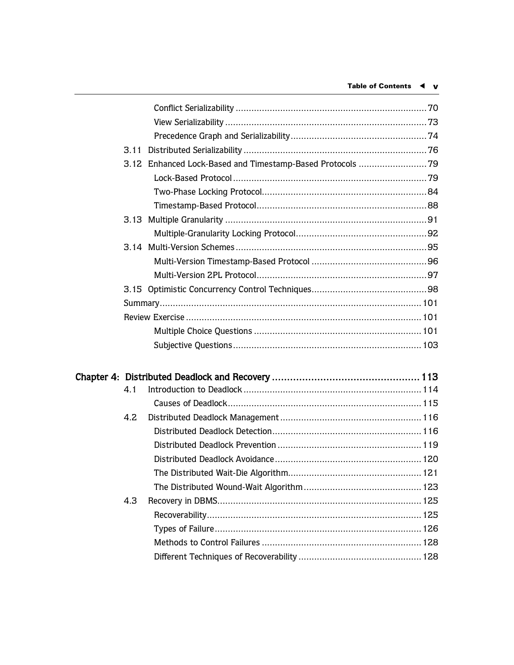| 3.11                                                       |  |
|------------------------------------------------------------|--|
| 3.12 Enhanced Lock-Based and Timestamp-Based Protocols  79 |  |
|                                                            |  |
|                                                            |  |
|                                                            |  |
|                                                            |  |
|                                                            |  |
|                                                            |  |
|                                                            |  |
|                                                            |  |
|                                                            |  |
|                                                            |  |
|                                                            |  |
|                                                            |  |
|                                                            |  |
|                                                            |  |

| 4.1 |  |
|-----|--|
|     |  |
| 4.2 |  |
|     |  |
|     |  |
|     |  |
|     |  |
|     |  |
| 4.3 |  |
|     |  |
|     |  |
|     |  |
|     |  |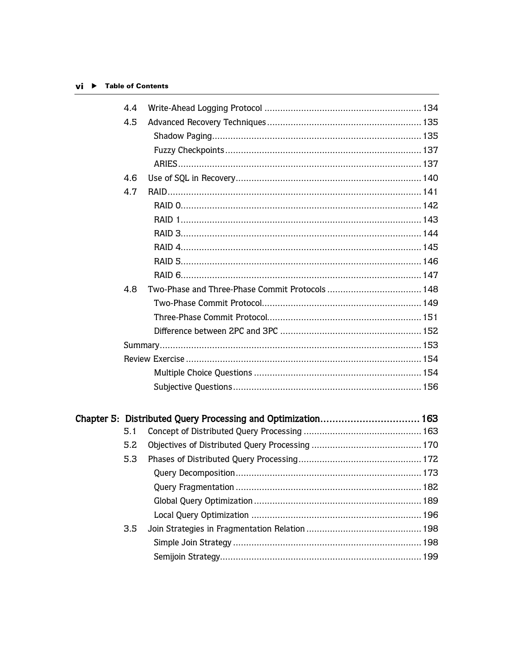## $vi$   $\blacktriangleright$  Table of Contents

| 4.4 |  |
|-----|--|
| 4.5 |  |
|     |  |
|     |  |
|     |  |
| 4.6 |  |
| 4.7 |  |
|     |  |
|     |  |
|     |  |
|     |  |
|     |  |
|     |  |
| 4.8 |  |
|     |  |
|     |  |
|     |  |
|     |  |
|     |  |
|     |  |
|     |  |
|     |  |
|     |  |
| 5.1 |  |
| 5.2 |  |
| 5.3 |  |
|     |  |
|     |  |
|     |  |
|     |  |
| 3.5 |  |
|     |  |
|     |  |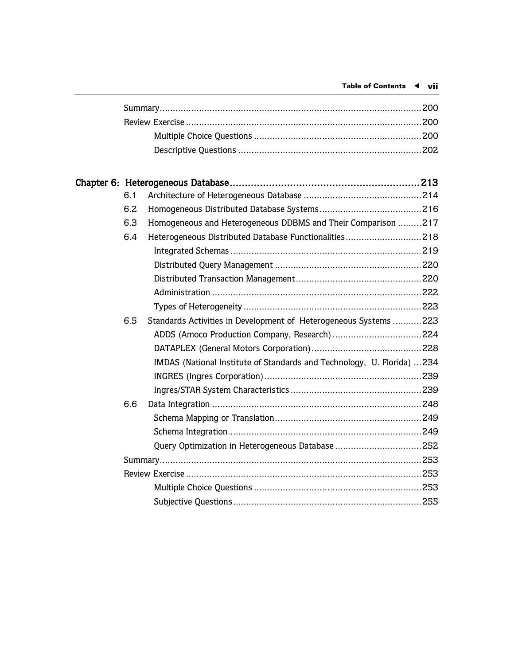| 6.1 |                                                                         |  |
|-----|-------------------------------------------------------------------------|--|
| 6.2 |                                                                         |  |
| 6.3 | Homogeneous and Heterogeneous DDBMS and Their Comparison 217            |  |
| 6.4 | Heterogeneous Distributed Database Functionalities218                   |  |
|     |                                                                         |  |
|     |                                                                         |  |
|     |                                                                         |  |
|     |                                                                         |  |
|     |                                                                         |  |
| 6.5 | Standards Activities in Development of Heterogeneous Systems 223        |  |
|     |                                                                         |  |
|     |                                                                         |  |
|     | IMDAS (National Institute of Standards and Technology, U. Florida)  234 |  |
|     |                                                                         |  |
|     |                                                                         |  |
| 6.6 |                                                                         |  |
|     |                                                                         |  |
|     |                                                                         |  |
|     |                                                                         |  |
|     |                                                                         |  |
|     |                                                                         |  |
|     |                                                                         |  |
|     |                                                                         |  |
|     |                                                                         |  |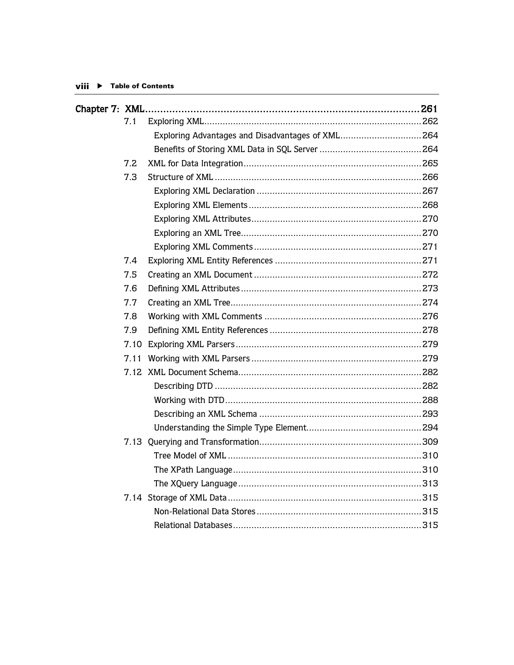| 7.1  |                                                  |  |
|------|--------------------------------------------------|--|
|      | Exploring Advantages and Disadvantages of XML264 |  |
|      |                                                  |  |
| 7.2  |                                                  |  |
| 7.3  |                                                  |  |
|      |                                                  |  |
|      |                                                  |  |
|      |                                                  |  |
|      |                                                  |  |
|      |                                                  |  |
| 7.4  |                                                  |  |
| 7.5  |                                                  |  |
| 7.6  |                                                  |  |
| 7.7  |                                                  |  |
| 7.8  |                                                  |  |
| 7.9  |                                                  |  |
|      |                                                  |  |
| 7.11 |                                                  |  |
|      |                                                  |  |
|      |                                                  |  |
|      |                                                  |  |
|      |                                                  |  |
|      |                                                  |  |
|      |                                                  |  |
|      |                                                  |  |
|      |                                                  |  |
|      |                                                  |  |
|      |                                                  |  |
|      |                                                  |  |
|      |                                                  |  |